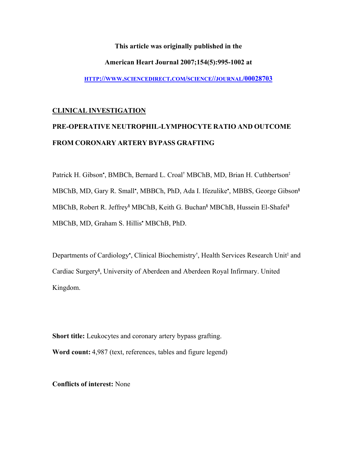**This article was originally published in the** 

#### **American Heart Journal 2007;154(5):995-1002 at**

**[HTTP://WWW.SCIENCEDIRECT.COM/SCIENCE//JOURNAL/00028703](http://www.sciencedirect.com/science//journal/00028703)**

#### **CLINICAL INVESTIGATION**

## **PRE-OPERATIVE NEUTROPHIL-LYMPHOCYTE RATIO AND OUTCOME FROM CORONARY ARTERY BYPASS GRAFTING**

Patrick H. Gibson<sup>∗</sup> , BMBCh, Bernard L. Croal**†** MBChB, MD, Brian H. Cuthbertson**‡** MBChB, MD, Gary R. Small<sup>∗</sup> , MBBCh, PhD, Ada I. Ifezulike<sup>∗</sup> , MBBS, George Gibson**§** MBChB, Robert R. Jeffrey**§** MBChB, Keith G. Buchan**§** MBChB, Hussein El-Shafei**§** MBChB, MD, Graham S. Hillis<sup>∗</sup> MBChB, PhD.

Departments of Cardiology<sup>∗</sup>, Clinical Biochemistry<sup>†</sup>, Health Services Research Unit<sup>‡</sup> and Cardiac Surgery**§** , University of Aberdeen and Aberdeen Royal Infirmary. United Kingdom.

**Short title:** Leukocytes and coronary artery bypass grafting. **Word count:** 4,987 (text, references, tables and figure legend)

**Conflicts of interest:** None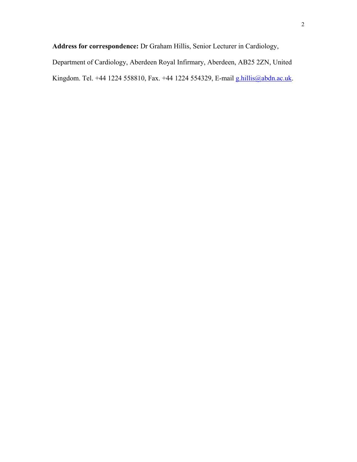**Address for correspondence:** Dr Graham Hillis, Senior Lecturer in Cardiology,

Department of Cardiology, Aberdeen Royal Infirmary, Aberdeen, AB25 2ZN, United Kingdom. Tel. +44 1224 558810, Fax. +44 1224 554329, E-mail [g.hillis@abdn.ac.uk](mailto:g.hillis@abdn.ac.uk).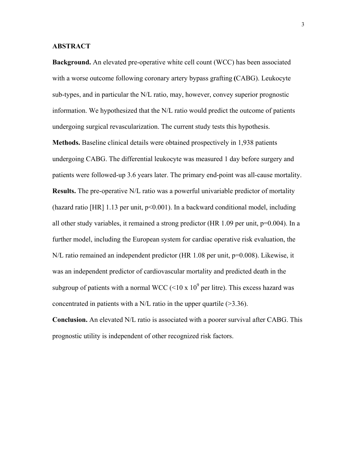#### **ABSTRACT**

**Background.** An elevated pre-operative white cell count (WCC) has been associated with a worse outcome following coronary artery bypass grafting **(**CABG). Leukocyte sub-types, and in particular the N/L ratio, may, however, convey superior prognostic information. We hypothesized that the N/L ratio would predict the outcome of patients undergoing surgical revascularization. The current study tests this hypothesis.

**Methods.** Baseline clinical details were obtained prospectively in 1,938 patients undergoing CABG. The differential leukocyte was measured 1 day before surgery and patients were followed-up 3.6 years later. The primary end-point was all-cause mortality. **Results.** The pre-operative N/L ratio was a powerful univariable predictor of mortality (hazard ratio  $[HR]$  1.13 per unit,  $p<0.001$ ). In a backward conditional model, including all other study variables, it remained a strong predictor (HR  $1.09$  per unit,  $p=0.004$ ). In a further model, including the European system for cardiac operative risk evaluation, the N/L ratio remained an independent predictor (HR 1.08 per unit, p=0.008). Likewise, it was an independent predictor of cardiovascular mortality and predicted death in the subgroup of patients with a normal WCC (<10 x  $10^9$  per litre). This excess hazard was concentrated in patients with a N/L ratio in the upper quartile  $(>=3.36)$ .

**Conclusion.** An elevated N/L ratio is associated with a poorer survival after CABG. This prognostic utility is independent of other recognized risk factors.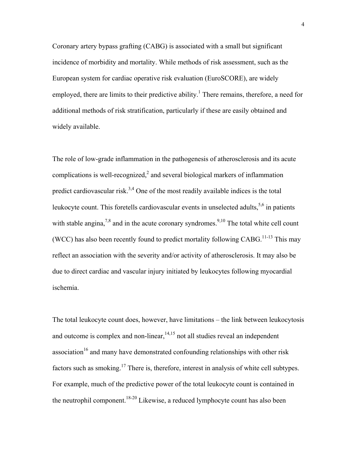Coronary artery bypass grafting (CABG) is associated with a small but significant incidence of morbidity and mortality. While methods of risk assessment, such as the European system for cardiac operative risk evaluation (EuroSCORE), are widely employed, there are limits to their predictive ability.<sup>1</sup> There remains, therefore, a need for additional methods of risk stratification, particularly if these are easily obtained and widely available.

The role of low-grade inflammation in the pathogenesis of atherosclerosis and its acute complications is well-recognized, $2$  and several biological markers of inflammation predict cardiovascular risk.<sup>3,4</sup> One of the most readily available indices is the total leukocyte count. This foretells cardiovascular events in unselected adults,  $5,6$  in patients with stable angina,<sup>7,8</sup> and in the acute coronary syndromes.<sup>9,10</sup> The total white cell count (WCC) has also been recently found to predict mortality following  $CABG$ <sup>11-13</sup>. This may reflect an association with the severity and/or activity of atherosclerosis. It may also be due to direct cardiac and vascular injury initiated by leukocytes following myocardial ischemia.

The total leukocyte count does, however, have limitations – the link between leukocytosis and outcome is complex and non-linear,  $14,15$  not all studies reveal an independent association<sup>16</sup> and many have demonstrated confounding relationships with other risk factors such as smoking.<sup>17</sup> There is, therefore, interest in analysis of white cell subtypes. For example, much of the predictive power of the total leukocyte count is contained in the neutrophil component.<sup>18-20</sup> Likewise, a reduced lymphocyte count has also been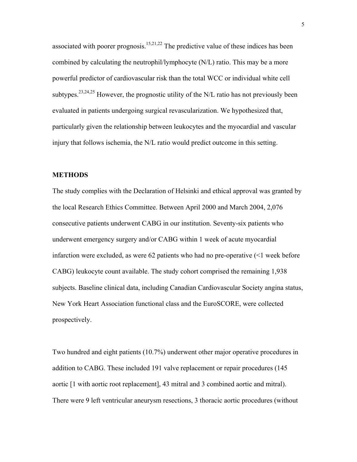associated with poorer prognosis.<sup>15,21,22</sup> The predictive value of these indices has been combined by calculating the neutrophil/lymphocyte (N/L) ratio. This may be a more powerful predictor of cardiovascular risk than the total WCC or individual white cell subtypes.<sup>23,24,25</sup> However, the prognostic utility of the N/L ratio has not previously been evaluated in patients undergoing surgical revascularization. We hypothesized that, particularly given the relationship between leukocytes and the myocardial and vascular injury that follows ischemia, the N/L ratio would predict outcome in this setting.

#### **METHODS**

The study complies with the Declaration of Helsinki and ethical approval was granted by the local Research Ethics Committee. Between April 2000 and March 2004, 2,076 consecutive patients underwent CABG in our institution. Seventy-six patients who underwent emergency surgery and/or CABG within 1 week of acute myocardial infarction were excluded, as were 62 patients who had no pre-operative (<1 week before CABG) leukocyte count available. The study cohort comprised the remaining 1,938 subjects. Baseline clinical data, including Canadian Cardiovascular Society angina status, New York Heart Association functional class and the EuroSCORE, were collected prospectively.

Two hundred and eight patients (10.7%) underwent other major operative procedures in addition to CABG. These included 191 valve replacement or repair procedures (145 aortic [1 with aortic root replacement], 43 mitral and 3 combined aortic and mitral). There were 9 left ventricular aneurysm resections, 3 thoracic aortic procedures (without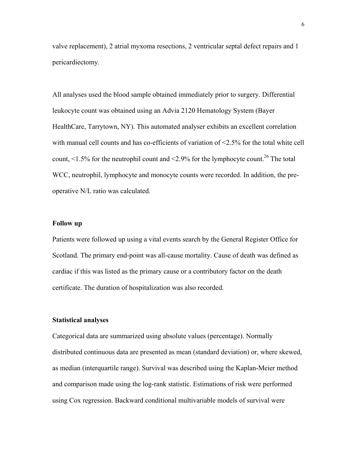valve replacement), 2 atrial myxoma resections, 2 ventricular septal defect repairs and 1 pericardiectomy.

All analyses used the blood sample obtained immediately prior to surgery. Differential leukocyte count was obtained using an Advia 2120 Hematology System (Bayer HealthCare, Tarrytown, NY). This automated analyser exhibits an excellent correlation with manual cell counts and has co-efficients of variation of <2.5% for the total white cell count,  $\leq$  1.5% for the neutrophil count and  $\leq$  2.9% for the lymphocyte count.<sup>26</sup> The total WCC, neutrophil, lymphocyte and monocyte counts were recorded. In addition, the preoperative N/L ratio was calculated.

#### **Follow up**

Patients were followed up using a vital events search by the General Register Office for Scotland. The primary end-point was all-cause mortality. Cause of death was defined as cardiac if this was listed as the primary cause or a contributory factor on the death certificate. The duration of hospitalization was also recorded.

#### **Statistical analyses**

Categorical data are summarized using absolute values (percentage). Normally distributed continuous data are presented as mean (standard deviation) or, where skewed, as median (interquartile range). Survival was described using the Kaplan-Meier method and comparison made using the log-rank statistic. Estimations of risk were performed using Cox regression. Backward conditional multivariable models of survival were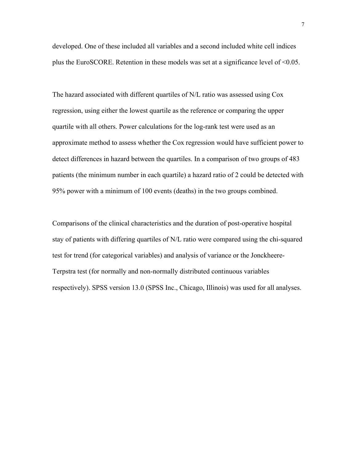developed. One of these included all variables and a second included white cell indices plus the EuroSCORE. Retention in these models was set at a significance level of <0.05.

The hazard associated with different quartiles of N/L ratio was assessed using Cox regression, using either the lowest quartile as the reference or comparing the upper quartile with all others. Power calculations for the log-rank test were used as an approximate method to assess whether the Cox regression would have sufficient power to detect differences in hazard between the quartiles. In a comparison of two groups of 483 patients (the minimum number in each quartile) a hazard ratio of 2 could be detected with 95% power with a minimum of 100 events (deaths) in the two groups combined.

Comparisons of the clinical characteristics and the duration of post-operative hospital stay of patients with differing quartiles of N/L ratio were compared using the chi-squared test for trend (for categorical variables) and analysis of variance or the Jonckheere-Terpstra test (for normally and non-normally distributed continuous variables respectively). SPSS version 13.0 (SPSS Inc., Chicago, Illinois) was used for all analyses.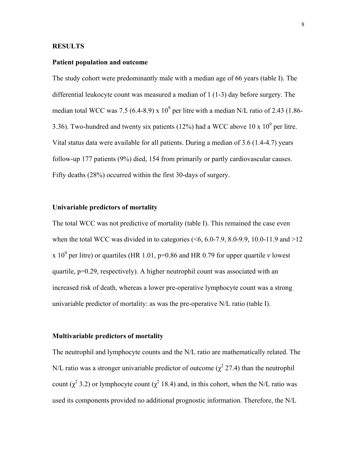#### **RESULTS**

#### **Patient population and outcome**

The study cohort were predominantly male with a median age of 66 years (table I). The differential leukocyte count was measured a median of 1 (1-3) day before surgery. The median total WCC was 7.5 (6.4-8.9) x  $10^9$  per litre with a median N/L ratio of 2.43 (1.86-3.36). Two-hundred and twenty six patients (12%) had a WCC above 10 x  $10<sup>9</sup>$  per litre. Vital status data were available for all patients. During a median of 3.6 (1.4-4.7) years follow-up 177 patients (9%) died, 154 from primarily or partly cardiovascular causes. Fifty deaths (28%) occurred within the first 30-days of surgery.

#### **Univariable predictors of mortality**

The total WCC was not predictive of mortality (table I). This remained the case even when the total WCC was divided in to categories  $(5, 6.0, 7.9, 8.0, 9.9, 10.0, 11.9, \text{and} >12.$ x 10<sup>9</sup> per litre) or quartiles (HR 1.01, p=0.86 and HR 0.79 for upper quartile  $\nu$  lowest quartile, p=0.29, respectively). A higher neutrophil count was associated with an increased risk of death, whereas a lower pre-operative lymphocyte count was a strong univariable predictor of mortality: as was the pre-operative N/L ratio (table I).

#### **Multivariable predictors of mortality**

The neutrophil and lymphocyte counts and the N/L ratio are mathematically related. The N/L ratio was a stronger univariable predictor of outcome ( $\chi^2$  27.4) than the neutrophil count ( $\chi^2$  3.2) or lymphocyte count ( $\chi^2$  18.4) and, in this cohort, when the N/L ratio was used its components provided no additional prognostic information. Therefore, the N/L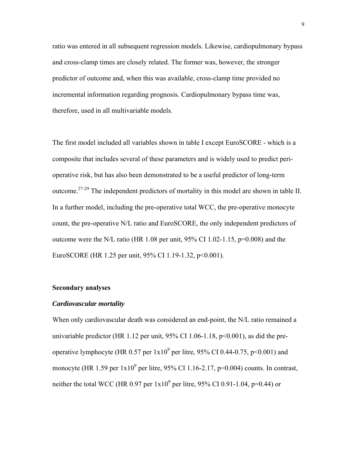ratio was entered in all subsequent regression models. Likewise, cardiopulmonary bypass and cross-clamp times are closely related. The former was, however, the stronger predictor of outcome and, when this was available, cross-clamp time provided no incremental information regarding prognosis. Cardiopulmonary bypass time was, therefore, used in all multivariable models.

The first model included all variables shown in table I except EuroSCORE - which is a composite that includes several of these parameters and is widely used to predict perioperative risk, but has also been demonstrated to be a useful predictor of long-term outcome.27-29 The independent predictors of mortality in this model are shown in table II. In a further model, including the pre-operative total WCC, the pre-operative monocyte count, the pre-operative N/L ratio and EuroSCORE, the only independent predictors of outcome were the N/L ratio (HR 1.08 per unit,  $95\%$  CI 1.02-1.15, p=0.008) and the EuroSCORE (HR 1.25 per unit, 95% CI 1.19-1.32, p<0.001).

#### **Secondary analyses**

#### *Cardiovascular mortality*

When only cardiovascular death was considered an end-point, the N/L ratio remained a univariable predictor (HR 1.12 per unit,  $95\%$  CI 1.06-1.18, p<0.001), as did the preoperative lymphocyte (HR 0.57 per  $1x10^9$  per litre, 95% CI 0.44-0.75, p<0.001) and monocyte (HR 1.59 per  $1x10^9$  per litre, 95% CI 1.16-2.17, p=0.004) counts. In contrast, neither the total WCC (HR 0.97 per  $1x10^9$  per litre, 95% CI 0.91-1.04, p=0.44) or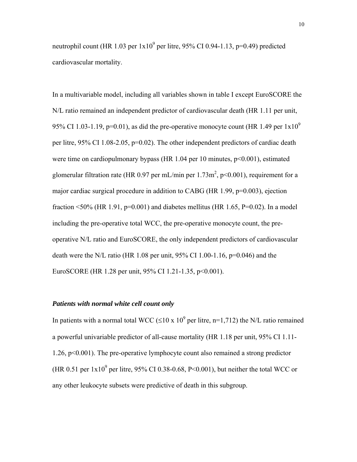neutrophil count (HR 1.03 per  $1x10^9$  per litre, 95% CI 0.94-1.13, p=0.49) predicted cardiovascular mortality.

In a multivariable model, including all variables shown in table I except EuroSCORE the N/L ratio remained an independent predictor of cardiovascular death (HR 1.11 per unit, 95% CI 1.03-1.19, p=0.01), as did the pre-operative monocyte count (HR 1.49 per  $1x10^9$ per litre, 95% CI 1.08-2.05, p=0.02). The other independent predictors of cardiac death were time on cardiopulmonary bypass (HR 1.04 per 10 minutes,  $p<0.001$ ), estimated glomerular filtration rate (HR 0.97 per mL/min per  $1.73 \text{m}^2$ , p<0.001), requirement for a major cardiac surgical procedure in addition to CABG (HR  $1.99$ ,  $p=0.003$ ), ejection fraction <50% (HR 1.91,  $p=0.001$ ) and diabetes mellitus (HR 1.65, P=0.02). In a model including the pre-operative total WCC, the pre-operative monocyte count, the preoperative N/L ratio and EuroSCORE, the only independent predictors of cardiovascular death were the N/L ratio (HR 1.08 per unit, 95% CI 1.00-1.16,  $p=0.046$ ) and the EuroSCORE (HR 1.28 per unit, 95% CI 1.21-1.35, p<0.001).

#### *Patients with normal white cell count only*

In patients with a normal total WCC ( $\leq 10 \times 10^9$  per litre, n=1,712) the N/L ratio remained a powerful univariable predictor of all-cause mortality (HR 1.18 per unit, 95% CI 1.11- 1.26, p<0.001). The pre-operative lymphocyte count also remained a strong predictor (HR 0.51 per  $1x10^9$  per litre, 95% CI 0.38-0.68, P<0.001), but neither the total WCC or any other leukocyte subsets were predictive of death in this subgroup.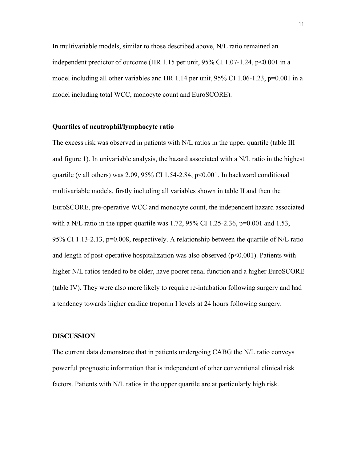In multivariable models, similar to those described above, N/L ratio remained an independent predictor of outcome (HR 1.15 per unit,  $95\%$  CI 1.07-1.24, p<0.001 in a model including all other variables and HR 1.14 per unit,  $95\%$  CI 1.06-1.23, p=0.001 in a model including total WCC, monocyte count and EuroSCORE).

#### **Quartiles of neutrophil/lymphocyte ratio**

The excess risk was observed in patients with N/L ratios in the upper quartile (table III and figure 1). In univariable analysis, the hazard associated with a N/L ratio in the highest quartile (*v* all others) was 2.09, 95% CI 1.54-2.84, p<0.001. In backward conditional multivariable models, firstly including all variables shown in table II and then the EuroSCORE, pre-operative WCC and monocyte count, the independent hazard associated with a N/L ratio in the upper quartile was 1.72, 95% CI 1.25-2.36, p=0.001 and 1.53, 95% CI 1.13-2.13, p=0.008, respectively. A relationship between the quartile of N/L ratio and length of post-operative hospitalization was also observed  $(p<0.001)$ . Patients with higher N/L ratios tended to be older, have poorer renal function and a higher EuroSCORE (table IV). They were also more likely to require re-intubation following surgery and had a tendency towards higher cardiac troponin I levels at 24 hours following surgery.

#### **DISCUSSION**

The current data demonstrate that in patients undergoing CABG the N/L ratio conveys powerful prognostic information that is independent of other conventional clinical risk factors. Patients with N/L ratios in the upper quartile are at particularly high risk.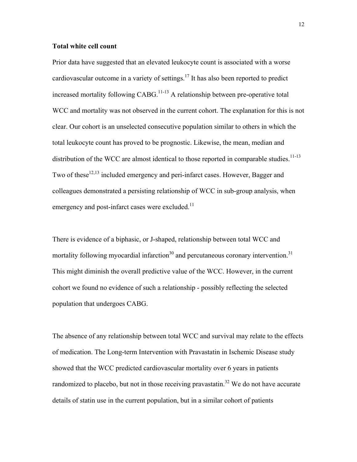#### **Total white cell count**

Prior data have suggested that an elevated leukocyte count is associated with a worse cardiovascular outcome in a variety of settings.<sup>17</sup> It has also been reported to predict increased mortality following CABG.<sup>11-13</sup> A relationship between pre-operative total WCC and mortality was not observed in the current cohort. The explanation for this is not clear. Our cohort is an unselected consecutive population similar to others in which the total leukocyte count has proved to be prognostic. Likewise, the mean, median and distribution of the WCC are almost identical to those reported in comparable studies.<sup>11-13</sup> Two of these  $12,13$  included emergency and peri-infarct cases. However, Bagger and colleagues demonstrated a persisting relationship of WCC in sub-group analysis, when emergency and post-infarct cases were excluded.<sup>11</sup>

There is evidence of a biphasic, or J-shaped, relationship between total WCC and mortality following myocardial infarction<sup>30</sup> and percutaneous coronary intervention.<sup>31</sup> This might diminish the overall predictive value of the WCC. However, in the current cohort we found no evidence of such a relationship - possibly reflecting the selected population that undergoes CABG.

The absence of any relationship between total WCC and survival may relate to the effects of medication. The Long-term Intervention with Pravastatin in Ischemic Disease study showed that the WCC predicted cardiovascular mortality over 6 years in patients randomized to placebo, but not in those receiving pravastatin.<sup>32</sup> We do not have accurate details of statin use in the current population, but in a similar cohort of patients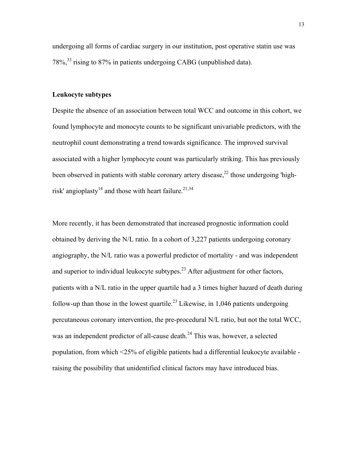undergoing all forms of cardiac surgery in our institution, post operative statin use was 78%,33 rising to 87% in patients undergoing CABG (unpublished data).

#### **Leukocyte subtypes**

Despite the absence of an association between total WCC and outcome in this cohort, we found lymphocyte and monocyte counts to be significant univariable predictors, with the neutrophil count demonstrating a trend towards significance. The improved survival associated with a higher lymphocyte count was particularly striking. This has previously been observed in patients with stable coronary artery disease,  $^{22}$  those undergoing 'highrisk' angioplasty<sup>14</sup> and those with heart failure.<sup>21,34</sup>

More recently, it has been demonstrated that increased prognostic information could obtained by deriving the N/L ratio. In a cohort of 3,227 patients undergoing coronary angiography, the N/L ratio was a powerful predictor of mortality - and was independent and superior to individual leukocyte subtypes. $2<sup>3</sup>$  After adjustment for other factors, patients with a N/L ratio in the upper quartile had a 3 times higher hazard of death during follow-up than those in the lowest quartile.<sup>23</sup> Likewise, in 1,046 patients undergoing percutaneous coronary intervention, the pre-procedural N/L ratio, but not the total WCC, was an independent predictor of all-cause death.<sup>24</sup> This was, however, a selected population, from which <25% of eligible patients had a differential leukocyte available raising the possibility that unidentified clinical factors may have introduced bias.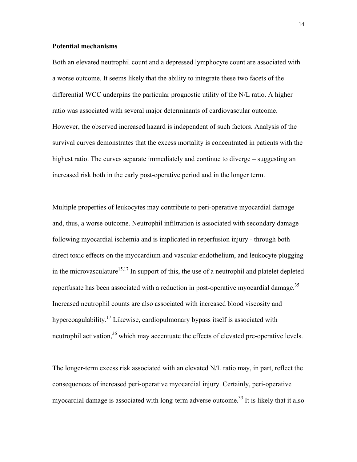#### **Potential mechanisms**

Both an elevated neutrophil count and a depressed lymphocyte count are associated with a worse outcome. It seems likely that the ability to integrate these two facets of the differential WCC underpins the particular prognostic utility of the N/L ratio. A higher ratio was associated with several major determinants of cardiovascular outcome. However, the observed increased hazard is independent of such factors. Analysis of the survival curves demonstrates that the excess mortality is concentrated in patients with the highest ratio. The curves separate immediately and continue to diverge – suggesting an increased risk both in the early post-operative period and in the longer term.

Multiple properties of leukocytes may contribute to peri-operative myocardial damage and, thus, a worse outcome. Neutrophil infiltration is associated with secondary damage following myocardial ischemia and is implicated in reperfusion injury - through both direct toxic effects on the myocardium and vascular endothelium, and leukocyte plugging in the microvasculature<sup>15,17</sup> In support of this, the use of a neutrophil and platelet depleted reperfusate has been associated with a reduction in post-operative myocardial damage.<sup>35</sup> Increased neutrophil counts are also associated with increased blood viscosity and hypercoagulability.<sup>17</sup> Likewise, cardiopulmonary bypass itself is associated with neutrophil activation,<sup>36</sup> which may accentuate the effects of elevated pre-operative levels.

The longer-term excess risk associated with an elevated N/L ratio may, in part, reflect the consequences of increased peri-operative myocardial injury. Certainly, peri-operative myocardial damage is associated with long-term adverse outcome.<sup>33</sup> It is likely that it also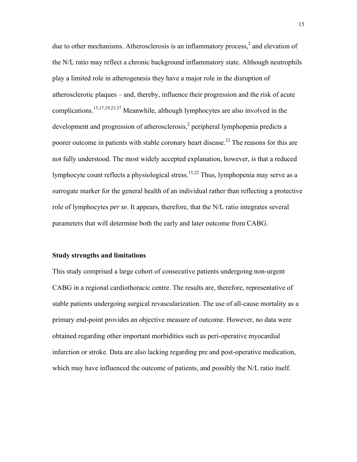due to other mechanisms. Atherosclerosis is an inflammatory process, $<sup>2</sup>$  and elevation of</sup> the N/L ratio may reflect a chronic background inflammatory state. Although neutrophils play a limited role in atherogenesis they have a major role in the disruption of atherosclerotic plaques – and, thereby, influence their progression and the risk of acute complications.<sup>15,17,19,23,37</sup> Meanwhile, although lymphocytes are also involved in the development and progression of atherosclerosis,<sup>2</sup> peripheral lymphopenia predicts a poorer outcome in patients with stable coronary heart disease.<sup>22</sup> The reasons for this are not fully understood. The most widely accepted explanation, however, is that a reduced lymphocyte count reflects a physiological stress.<sup>15,22</sup> Thus, lymphopenia may serve as a surrogate marker for the general health of an individual rather than reflecting a protective role of lymphocytes *per se*. It appears, therefore, that the N/L ratio integrates several parameters that will determine both the early and later outcome from CABG.

#### **Study strengths and limitations**

This study comprised a large cohort of consecutive patients undergoing non-urgent CABG in a regional cardiothoracic centre. The results are, therefore, representative of stable patients undergoing surgical revascularization. The use of all-cause mortality as a primary end-point provides an objective measure of outcome. However, no data were obtained regarding other important morbidities such as peri-operative myocardial infarction or stroke. Data are also lacking regarding pre and post-operative medication, which may have influenced the outcome of patients, and possibly the N/L ratio itself.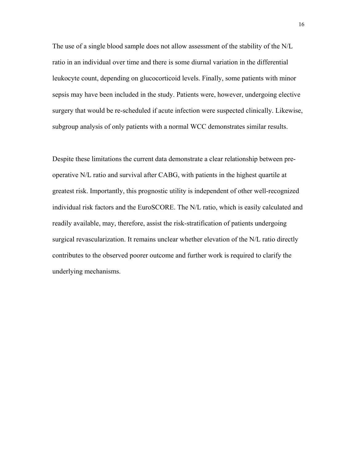The use of a single blood sample does not allow assessment of the stability of the N/L ratio in an individual over time and there is some diurnal variation in the differential leukocyte count, depending on glucocorticoid levels. Finally, some patients with minor sepsis may have been included in the study. Patients were, however, undergoing elective surgery that would be re-scheduled if acute infection were suspected clinically. Likewise, subgroup analysis of only patients with a normal WCC demonstrates similar results.

Despite these limitations the current data demonstrate a clear relationship between preoperative N/L ratio and survival after CABG, with patients in the highest quartile at greatest risk. Importantly, this prognostic utility is independent of other well-recognized individual risk factors and the EuroSCORE. The N/L ratio, which is easily calculated and readily available, may, therefore, assist the risk-stratification of patients undergoing surgical revascularization. It remains unclear whether elevation of the N/L ratio directly contributes to the observed poorer outcome and further work is required to clarify the underlying mechanisms.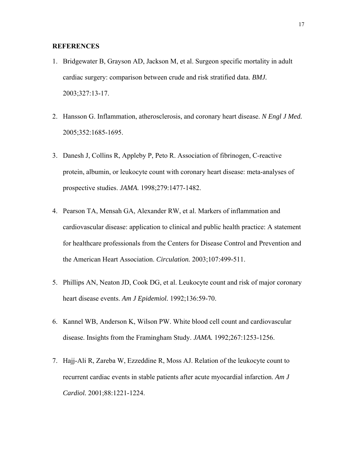#### **REFERENCES**

- 1. Bridgewater B, Grayson AD, Jackson M, et al. Surgeon specific mortality in adult cardiac surgery: comparison between crude and risk stratified data. *BMJ.*  2003;327:13-17.
- 2. Hansson G. Inflammation, atherosclerosis, and coronary heart disease. *N Engl J Med.*  2005;352:1685-1695.
- 3. Danesh J, Collins R, Appleby P, Peto R. Association of fibrinogen, C-reactive protein, albumin, or leukocyte count with coronary heart disease: meta-analyses of prospective studies. *JAMA.* 1998;279:1477-1482.
- 4. Pearson TA, Mensah GA, Alexander RW, et al. Markers of inflammation and cardiovascular disease: application to clinical and public health practice: A statement for healthcare professionals from the Centers for Disease Control and Prevention and the American Heart Association. *Circulation.* 2003;107:499-511.
- 5. Phillips AN, Neaton JD, Cook DG, et al. Leukocyte count and risk of major coronary heart disease events. *Am J Epidemiol.* 1992;136:59-70.
- 6. Kannel WB, Anderson K, Wilson PW. White blood cell count and cardiovascular disease. Insights from the Framingham Study. *JAMA.* 1992;267:1253-1256.
- 7. Hajj-Ali R, Zareba W, Ezzeddine R, Moss AJ. Relation of the leukocyte count to recurrent cardiac events in stable patients after acute myocardial infarction. *Am J Cardiol.* 2001;88:1221-1224.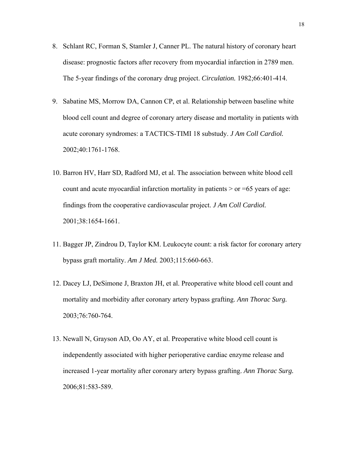- 8. Schlant RC, Forman S, Stamler J, Canner PL. The natural history of coronary heart disease: prognostic factors after recovery from myocardial infarction in 2789 men. The 5-year findings of the coronary drug project. *Circulation.* 1982;66:401-414.
- 9. Sabatine MS, Morrow DA, Cannon CP, et al. Relationship between baseline white blood cell count and degree of coronary artery disease and mortality in patients with acute coronary syndromes: a TACTICS-TIMI 18 substudy. *J Am Coll Cardiol.*  2002;40:1761-1768.
- 10. Barron HV, Harr SD, Radford MJ, et al. The association between white blood cell count and acute myocardial infarction mortality in patients  $>$  or  $=65$  years of age: findings from the cooperative cardiovascular project. *J Am Coll Cardiol.*  2001;38:1654-1661.
- 11. Bagger JP, Zindrou D, Taylor KM. Leukocyte count: a risk factor for coronary artery bypass graft mortality. *Am J Med.* 2003;115:660-663.
- 12. Dacey LJ, DeSimone J, Braxton JH, et al. Preoperative white blood cell count and mortality and morbidity after coronary artery bypass grafting. *Ann Thorac Surg.*  2003;76:760-764.
- 13. Newall N, Grayson AD, Oo AY, et al. Preoperative white blood cell count is independently associated with higher perioperative cardiac enzyme release and increased 1-year mortality after coronary artery bypass grafting. *Ann Thorac Surg.*  2006;81:583-589.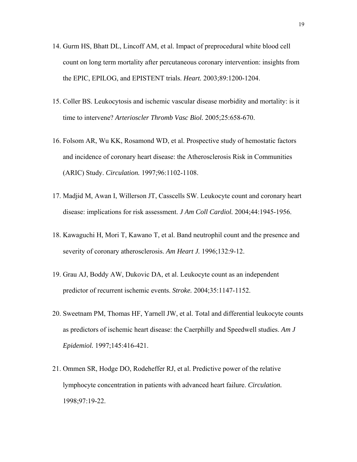- 14. Gurm HS, Bhatt DL, Lincoff AM, et al. Impact of preprocedural white blood cell count on long term mortality after percutaneous coronary intervention: insights from the EPIC, EPILOG, and EPISTENT trials. *Heart.* 2003;89:1200-1204.
- 15. Coller BS. Leukocytosis and ischemic vascular disease morbidity and mortality: is it time to intervene? *Arterioscler Thromb Vasc Biol.* 2005;25:658-670.
- 16. Folsom AR, Wu KK, Rosamond WD, et al. Prospective study of hemostatic factors and incidence of coronary heart disease: the Atherosclerosis Risk in Communities (ARIC) Study. *Circulation.* 1997;96:1102-1108.
- 17. Madjid M, Awan I, Willerson JT, Casscells SW. Leukocyte count and coronary heart disease: implications for risk assessment. *J Am Coll Cardiol.* 2004;44:1945-1956.
- 18. Kawaguchi H, Mori T, Kawano T, et al. Band neutrophil count and the presence and severity of coronary atherosclerosis. *Am Heart J.* 1996;132:9-12.
- 19. Grau AJ, Boddy AW, Dukovic DA, et al. Leukocyte count as an independent predictor of recurrent ischemic events. *Stroke.* 2004;35:1147-1152.
- 20. Sweetnam PM, Thomas HF, Yarnell JW, et al. Total and differential leukocyte counts as predictors of ischemic heart disease: the Caerphilly and Speedwell studies. *Am J Epidemiol.* 1997;145:416-421.
- 21. Ommen SR, Hodge DO, Rodeheffer RJ, et al. Predictive power of the relative lymphocyte concentration in patients with advanced heart failure. *Circulation.*  1998;97:19-22.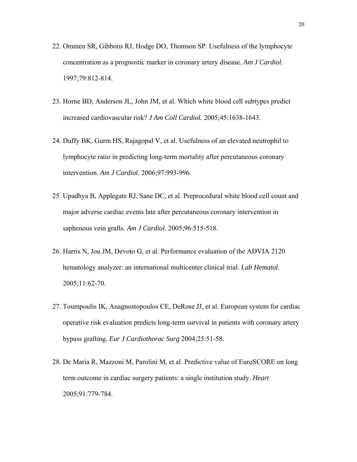- 22. Ommen SR, Gibbons RJ, Hodge DO, Thomson SP. Usefulness of the lymphocyte concentration as a prognostic marker in coronary artery disease. *Am J Cardiol.*  1997;79:812-814.
- 23. Horne BD, Anderson JL, John JM, et al. Which white blood cell subtypes predict increased cardiovascular risk? *J Am Coll Cardiol.* 2005;45:1638-1643.
- 24. Duffy BK, Gurm HS, Rajagopal V, et al. Usefulness of an elevated neutrophil to lymphocyte ratio in predicting long-term mortality after percutaneous coronary intervention. *Am J Cardiol.* 2006;97:993-996.
- 25. Upadhya B, Applegate RJ, Sane DC, et al. Preprocedural white blood cell count and major adverse cardiac events late after percutaneous coronary intervention in saphenous vein grafts. *Am J Cardiol.* 2005;96:515-518.
- 26. Harris N, Jou JM, Devoto G, et al. Performance evaluation of the ADVIA 2120 hematology analyzer: an international multicenter clinical trial. *Lab Hematol.*  2005;11:62-70.
- 27. Toumpoulis IK, Anagnostopoulos CE, DeRose JJ, et al. European system for cardiac operative risk evaluation predicts long-term survival in patients with coronary artery bypass grafting. *Eur J Cardiothorac Surg* 2004;25:51-58.
- 28. De Maria R, Mazzoni M, Parolini M, et al. Predictive value of EuroSCORE on long term outcome in cardiac surgery patients: a single institution study. *Heart* 2005;91:779-784.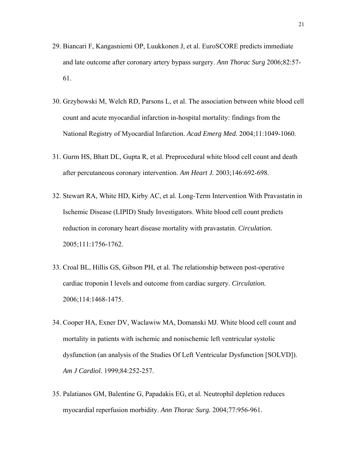- 29. Biancari F, Kangasniemi OP, Luukkonen J, et al. EuroSCORE predicts immediate and late outcome after coronary artery bypass surgery. *Ann Thorac Surg* 2006;82:57- 61.
- 30. Grzybowski M, Welch RD, Parsons L, et al. The association between white blood cell count and acute myocardial infarction in-hospital mortality: findings from the National Registry of Myocardial Infarction. *Acad Emerg Med.* 2004;11:1049-1060.
- 31. Gurm HS, Bhatt DL, Gupta R, et al. Preprocedural white blood cell count and death after percutaneous coronary intervention. *Am Heart J.* 2003;146:692-698.
- 32. Stewart RA, White HD, Kirby AC, et al. Long-Term Intervention With Pravastatin in Ischemic Disease (LIPID) Study Investigators. White blood cell count predicts reduction in coronary heart disease mortality with pravastatin. *Circulation.*  2005;111:1756-1762.
- 33. Croal BL, Hillis GS, Gibson PH, et al. The relationship between post-operative cardiac troponin I levels and outcome from cardiac surgery. *Circulation.*  2006;114:1468-1475.
- 34. Cooper HA, Exner DV, Waclawiw MA, Domanski MJ. White blood cell count and mortality in patients with ischemic and nonischemic left ventricular systolic dysfunction (an analysis of the Studies Of Left Ventricular Dysfunction [SOLVD]). *Am J Cardiol.* 1999;84:252-257.
- 35. Palatianos GM, Balentine G, Papadakis EG, et al. Neutrophil depletion reduces myocardial reperfusion morbidity. *Ann Thorac Surg.* 2004;77:956-961.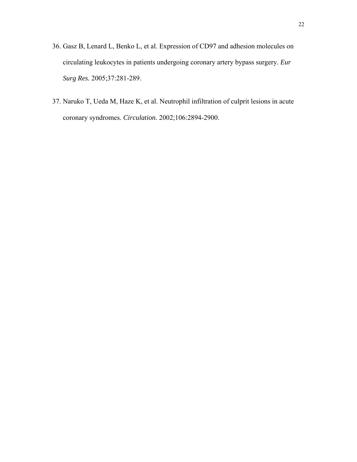- 36. Gasz B, Lenard L, Benko L, et al. Expression of CD97 and adhesion molecules on circulating leukocytes in patients undergoing coronary artery bypass surgery. *Eur Surg Res.* 2005;37:281-289.
- 37. Naruko T, Ueda M, Haze K, et al. Neutrophil infiltration of culprit lesions in acute coronary syndromes. *Circulation.* 2002;106:2894-2900.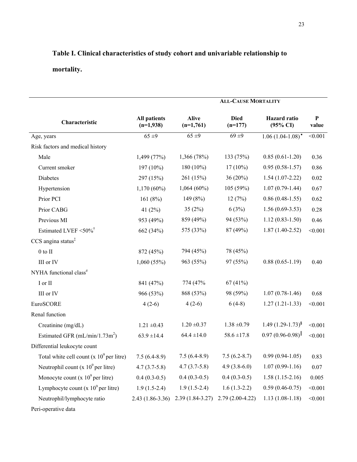# **Table I. Clinical characteristics of study cohort and univariable relationship to mortality.**

|                                             | <b>ALL-CAUSE MORTALITY</b>         |                             |                          |                                            |                    |
|---------------------------------------------|------------------------------------|-----------------------------|--------------------------|--------------------------------------------|--------------------|
| Characteristic                              | <b>All patients</b><br>$(n=1,938)$ | <b>Alive</b><br>$(n=1,761)$ | <b>Died</b><br>$(n=177)$ | <b>Hazard</b> ratio<br>$(95\% \text{ CI})$ | ${\bf P}$<br>value |
| Age, years                                  | $65 + 9$                           | 65 ±9                       | $69 + 9$                 | $1.06(1.04-1.08)^*$                        | < 0.001            |
| Risk factors and medical history            |                                    |                             |                          |                                            |                    |
| Male                                        | 1,499 (77%)                        | 1,366 (78%)                 | 133 (75%)                | $0.85(0.61-1.20)$                          | 0.36               |
| Current smoker                              | $197(10\%)$                        | 180 (10%)                   | $17(10\%)$               | $0.95(0.58-1.57)$                          | 0.86               |
| Diabetes                                    | 297 (15%)                          | 261 (15%)                   | 36(20%)                  | $1.54(1.07-2.22)$                          | 0.02               |
| Hypertension                                | $1,170(60\%)$                      | $1,064(60\%)$               | 105 (59%)                | $1.07(0.79-1.44)$                          | 0.67               |
| Prior PCI                                   | 161 $(8%)$                         | 149 (8%)                    | 12(7%)                   | $0.86(0.48-1.55)$                          | 0.62               |
| Prior CABG                                  | 41 $(2%)$                          | 35(2%)                      | 6(3%)                    | $1.56(0.69-3.53)$                          | 0.28               |
| Previous MI                                 | 953 (49%)                          | 859 (49%)                   | 94 (53%)                 | $1.12(0.83 - 1.50)$                        | 0.46               |
| Estimated LVEF <50% <sup>†</sup>            | 662 (34%)                          | 575 (33%)                   | 87 (49%)                 | $1.87(1.40-2.52)$                          | < 0.001            |
| CCS angina status <sup>‡</sup>              |                                    |                             |                          |                                            |                    |
| $0$ to $\rm II$                             | 872 (45%)                          | 794 (45%)                   | 78 (45%)                 |                                            |                    |
| III or IV                                   | 1,060(55%)                         | 963 (55%)                   | 97 (55%)                 | $0.88(0.65-1.19)$                          | 0.40               |
| NYHA functional class <sup>#</sup>          |                                    |                             |                          |                                            |                    |
| I or II                                     | 841 (47%)                          | 774 (47%                    | 67(41%)                  |                                            |                    |
| III or IV                                   | 966 (53%)                          | 868 (53%)                   | 98 (59%)                 | $1.07(0.78-1.46)$                          | 0.68               |
| EuroSCORE                                   | $4(2-6)$                           | $4(2-6)$                    | $6(4-8)$                 | $1.27(1.21-1.33)$                          | < 0.001            |
| Renal function                              |                                    |                             |                          |                                            |                    |
| Creatinine (mg/dL)                          | $1.21 \pm 0.43$                    | $1.20 \pm 0.37$             | $1.38 \pm 0.79$          | $1.49(1.29-1.73)^{8}$                      | < 0.001            |
| Estimated GFR $(mL/min/1.73m^2)$            | $63.9 \pm 14.4$                    | $64.4 \pm 14.0$             | $58.6 \pm 17.8$          | $0.97(0.96 - 0.98)^{\parallel}$            | < 0.001            |
| Differential leukocyte count                |                                    |                             |                          |                                            |                    |
| Total white cell count $(x 10^9$ per litre) | $7.5(6.4-8.9)$                     | $7.5(6.4-8.9)$              | $7.5(6.2-8.7)$           | $0.99(0.94-1.05)$                          | 0.83               |
| Neutrophil count (x $10^9$ per litre)       | $4.7(3.7-5.8)$                     | $4.7(3.7-5.8)$              | $4.9(3.8-6.0)$           | $1.07(0.99-1.16)$                          | 0.07               |
| Monocyte count (x $10^9$ per litre)         | $0.4(0.3-0.5)$                     | $0.4(0.3-0.5)$              | $0.4(0.3-0.5)$           | $1.58(1.15-2.16)$                          | 0.005              |
| Lymphocyte count (x $10^9$ per litre)       | $1.9(1.5-2.4)$                     | $1.9(1.5-2.4)$              | $1.6(1.3-2.2)$           | $0.59(0.46 - 0.75)$                        | < 0.001            |
| Neutrophil/lymphocyte ratio                 | $2.43(1.86-3.36)$                  | $2.39(1.84 - 3.27)$         | $2.79(2.00-4.22)$        | $1.13(1.08-1.18)$                          | < 0.001            |
| Peri-operative data                         |                                    |                             |                          |                                            |                    |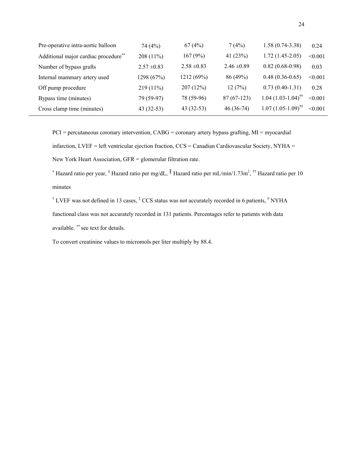| Pre-operative intra-aortic balloon   | 74 $(4\%)$      | 67(4%)          | 7(4%)           | $1.58(0.74-3.38)$               | 0.24    |
|--------------------------------------|-----------------|-----------------|-----------------|---------------------------------|---------|
| Additional major cardiac procedure** | $208(11\%)$     | 167(9%)         | 41 $(23%)$      | $1.72(1.45-2.05)$               | < 0.001 |
| Number of bypass grafts              | $2.57 \pm 0.83$ | $2.58 \pm 0.83$ | $2.46 \pm 0.89$ | $0.82(0.68-0.98)$               | 0.03    |
| Internal mammary artery used         | 1298 (67%)      | 1212(69%)       | 86 (49%)        | $0.48(0.36-0.65)$               | < 0.001 |
| Off pump procedure                   | $219(11\%)$     | 207(12%)        | 12(7%)          | $0.73(0.40-1.31)$               | 0.28    |
| Bypass time (minutes)                | 79 (59-97)      | 78 (59-96)      | $87(67-123)$    | $1.04(1.03-1.04)$ <sup>††</sup> | < 0.001 |
| Cross clamp time (minutes)           | $43(32-53)$     | $43(32-53)$     | $46(36-74)$     | $1.07(1.05-1.09)^{\dagger}$     | < 0.001 |

PCI = percutaneous coronary intervention, CABG = coronary artery bypass grafting, MI = myocardial infarction, LVEF = left ventricular ejection fraction, CCS = Canadian Cardiovascular Society, NYHA = New York Heart Association, GFR = glomerular filtration rate.

∗ Hazard ratio per year, § Hazard ratio per mg/dL, ║ Hazard ratio per mL/min/1.73m2 , †† Hazard ratio per 10 minutes

<sup>†</sup> LVEF was not defined in 13 cases,  $\frac{1}{2}$  CCS status was not accurately recorded in 6 patients,  $\frac{1}{2}$  NYHA functional class was not accurately recorded in 131 patients. Percentages refer to patients with data available. ∗∗ see text for details.

To convert creatinine values to micromols per liter multiply by 88.4.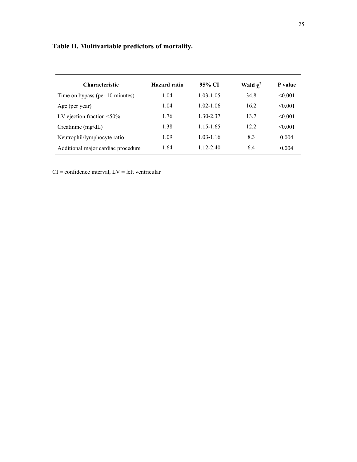| <b>Characteristic</b>              | Hazard ratio | 95% CI        | Wald $\chi^2$ | P value      |
|------------------------------------|--------------|---------------|---------------|--------------|
| Time on bypass (per 10 minutes)    | 1.04         | $1.03 - 1.05$ | 34.8          | $\leq 0.001$ |
| Age (per year)                     | 1.04         | $1.02 - 1.06$ | 16.2          | $\leq 0.001$ |
| LV ejection fraction $\leq 50\%$   | 1.76         | 1.30-2.37     | 13.7          | $\leq 0.001$ |
| Creatinine $(mg/dL)$               | 1.38         | 1.15-1.65     | 12.2          | $\leq 0.001$ |
| Neutrophil/lymphocyte ratio        | 1.09         | $1.03 - 1.16$ | 8.3           | 0.004        |
| Additional major cardiac procedure | 1.64         | $1.12 - 2.40$ | 6.4           | 0.004        |

 $CI =$  confidence interval,  $LV =$  left ventricular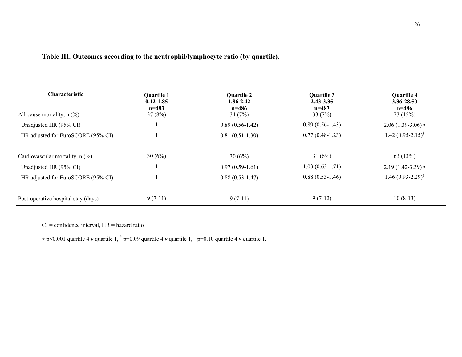|  | Table III. Outcomes according to the neutrophil/lymphocyte ratio (by quartile). |
|--|---------------------------------------------------------------------------------|
|--|---------------------------------------------------------------------------------|

| <b>Characteristic</b>               | <b>Quartile 1</b><br>$0.12 - 1.85$<br>$n=483$ | <b>Quartile 2</b><br>1.86-2.42<br>$n = 486$ | Quartile 3<br>$2.43 - 3.35$<br>$n=483$ | <b>Quartile 4</b><br>3.36-28.50<br>$n = 486$ |
|-------------------------------------|-----------------------------------------------|---------------------------------------------|----------------------------------------|----------------------------------------------|
| All-cause mortality, $n$ (%)        | 37(8%)                                        | 34(7%)                                      | 33 $(7%)$                              | 73 (15%)                                     |
| Unadjusted HR (95% CI)              |                                               | $0.89(0.56-1.42)$                           | $0.89(0.56-1.43)$                      | $2.06(1.39-3.06)*$                           |
| HR adjusted for EuroSCORE (95% CI)  |                                               | $0.81(0.51-1.30)$                           | $0.77(0.48-1.23)$                      | 1.42 $(0.95 - 2.15)^{\dagger}$               |
| Cardiovascular mortality, $n$ (%)   | 30(6%)                                        | 30(6%)                                      | 31 $(6%)$                              | 63(13%)                                      |
| Unadjusted HR (95% CI)              |                                               | $0.97(0.59-1.61)$                           | $1.03(0.63-1.71)$                      | $2.19(1.42-3.39)*$                           |
| HR adjusted for EuroSCORE (95% CI)  |                                               | $0.88(0.53 - 1.47)$                         | $0.88(0.53-1.46)$                      | $1.46(0.93-2.29)^{\ddagger}$                 |
| Post-operative hospital stay (days) | $9(7-11)$                                     | $9(7-11)$                                   | $9(7-12)$                              | $10(8-13)$                                   |

 $CI =$  confidence interval,  $HR =$  hazard ratio

<sup>∗</sup> p<0.001 quartile 4 *v* quartile 1, † p=0.09 quartile 4 *v* quartile 1, ‡ p=0.10 quartile 4 *v* quartile 1.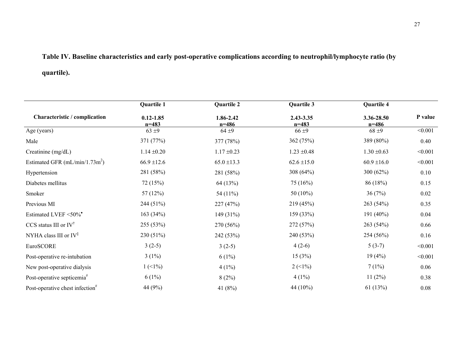## **Table IV. Baseline characteristics and early post-operative complications according to neutrophil/lymphocyte ratio (by**

### **quartile).**

|                                             | Quartile 1                 | Quartile 2             | Quartile 3             | Quartile 4              |         |
|---------------------------------------------|----------------------------|------------------------|------------------------|-------------------------|---------|
| Characteristic / complication               | $0.12 - 1.85$<br>$n = 483$ | 1.86-2.42<br>$n = 486$ | 2.43-3.35<br>$n = 483$ | 3.36-28.50<br>$n = 486$ | P value |
| Age (years)                                 | $63 \pm 9$                 | $64 + 9$               | $66 + 9$               | $68 + 9$                | < 0.001 |
| Male                                        | 371 (77%)                  | 377 (78%)              | 362 (75%)              | 389 (80%)               | 0.40    |
| Creatinine (mg/dL)                          | $1.14 \pm 0.20$            | $1.17 \pm 0.23$        | $1.23 \pm 0.48$        | $1.30 \pm 0.63$         | < 0.001 |
| Estimated GFR $(mL/min/1.73m^2)$            | $66.9 \pm 12.6$            | $65.0 \pm 13.3$        | $62.6 \pm 15.0$        | $60.9 \pm 16.0$         | < 0.001 |
| Hypertension                                | 281 (58%)                  | 281 (58%)              | 308 (64%)              | 300 (62%)               | 0.10    |
| Diabetes mellitus                           | 72 (15%)                   | 64 (13%)               | 75(16%)                | 86 (18%)                | 0.15    |
| Smoker                                      | 57(12%)                    | 54 (11%)               | 50 $(10\%)$            | 36(7%)                  | 0.02    |
| Previous MI                                 | 244 (51%)                  | 227 (47%)              | 219 (45%)              | 263(54%)                | 0.35    |
| Estimated LVEF <50%*                        | 163(34%)                   | 149 (31%)              | 159 (33%)              | 191 (40%)               | 0.04    |
| CCS status III or $IV^{\dagger}$            | 255 (53%)                  | 270 (56%)              | 272 (57%)              | 263 (54%)               | 0.66    |
| NYHA class III or $IV^{\ddagger}$           | 230 (51%)                  | 242 (53%)              | 240 (53%)              | 254 (56%)               | 0.16    |
| EuroSCORE                                   | $3(2-5)$                   | $3(2-5)$               | $4(2-6)$               | $5(3-7)$                | < 0.001 |
| Post-operative re-intubation                | $3(1\%)$                   | $6(1\%)$               | 15(3%)                 | 19(4%)                  | < 0.001 |
| New post-operative dialysis                 | $1(1\%)$                   | 4(1%)                  | $2(1\%)$               | 7(1%)                   | 0.06    |
| Post-operative septicemia <sup>#</sup>      | $6(1\%)$                   | 8(2%)                  | $4(1\%)$               | 11(2%)                  | 0.38    |
| Post-operative chest infection <sup>#</sup> | 44 (9%)                    | 41 $(8%)$              | 44 (10%)               | 61(13%)                 | 0.08    |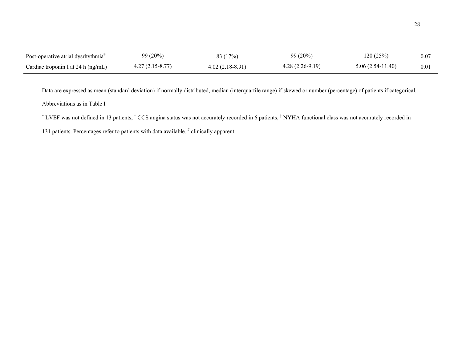| Post-operative atrial dysrhythmia <sup>#</sup> | 99 (20%)          | 83(17%)           | $99(20\%)$        | 120(25%)           | 0.07 |
|------------------------------------------------|-------------------|-------------------|-------------------|--------------------|------|
| Cardiac troponin I at 24 h (ng/mL)             | $4.27(2.15-8.77)$ | $4.02(2.18-8.91)$ | $4.28(2.26-9.19)$ | $5.06(2.54-11.40)$ | 0.01 |

Data are expressed as mean (standard deviation) if normally distributed, median (interquartile range) if skewed or number (percentage) of patients if categorical. Abbreviations as in Table I

\* LVEF was not defined in 13 patients, <sup>†</sup> CCS angina status was not accurately recorded in 6 patients, <sup>‡</sup> NYHA functional class was not accurately recorded in

131 patients. Percentages refer to patients with data available. **#** clinically apparent.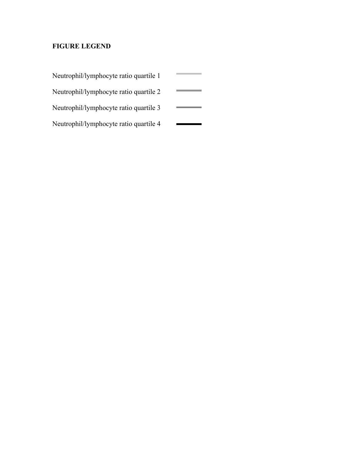### **FIGURE LEGEND**

| Neutrophil/lymphocyte ratio quartile 1 |  |
|----------------------------------------|--|
| Neutrophil/lymphocyte ratio quartile 2 |  |
| Neutrophil/lymphocyte ratio quartile 3 |  |

Neutrophil/lymphocyte ratio quartile 4  $\sim$   $\sim$